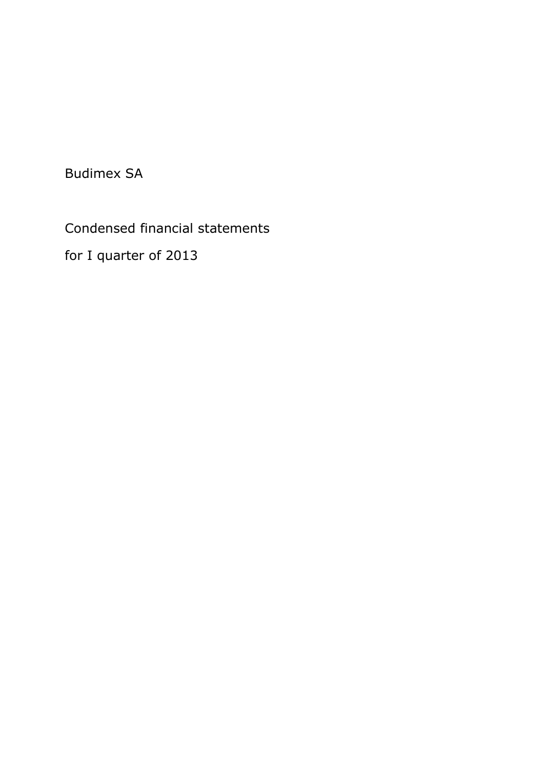Budimex SA

Condensed financial statements

for I quarter of 2013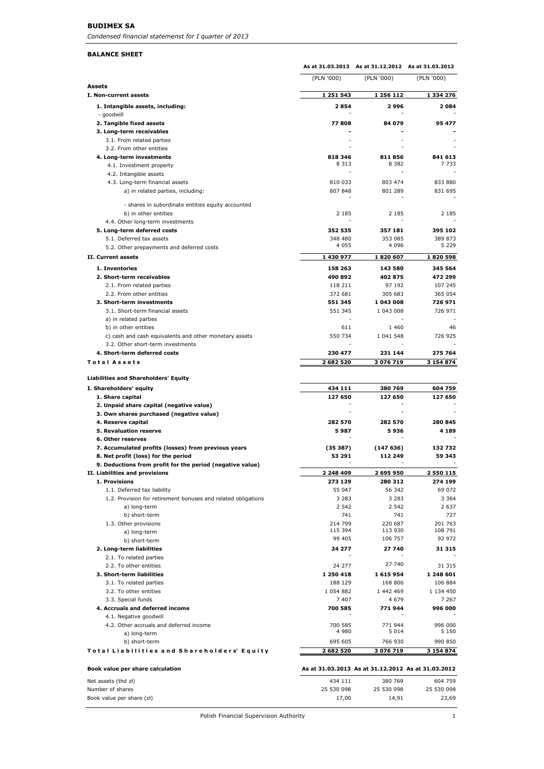#### **BUDIMEX SA**

*Condensed financial statemenst for I quarter of 2013*

#### **BALANCE SHEET**

|                                                                                                  |                          | As at 31.03.2013 As at 31.12.2012 As at 31.03.2012 |                      |
|--------------------------------------------------------------------------------------------------|--------------------------|----------------------------------------------------|----------------------|
|                                                                                                  | (PLN '000)               | (PLN '000)                                         | (PLN '000)           |
| Assets<br>I. Non-current assets                                                                  |                          |                                                    |                      |
|                                                                                                  | 1 251 543<br>2854        | 1 256 112<br>2996                                  | 1 334 276<br>2084    |
| 1. Intangible assets, including:<br>- goodwill                                                   |                          |                                                    |                      |
| 2. Tangible fixed assets                                                                         | 77808                    | 84 079                                             | 95 477               |
| 3. Long-term receivables                                                                         |                          |                                                    |                      |
| 3.1. From related parties                                                                        |                          |                                                    |                      |
| 3.2. From other entities<br>4. Long-term investments                                             | 818 346                  | 811856                                             | 841 613              |
| 4.1. Investment property                                                                         | 8 3 1 3                  | 8 3 8 2                                            | 7 7 3 3              |
| 4.2. Intangible assets                                                                           |                          |                                                    |                      |
| 4.3. Long-term financial assets                                                                  | 810 033                  | 803 474                                            | 833 880              |
| a) in related parties, including:                                                                | 807 848                  | 801 289                                            | 831 695              |
| - shares in subordinate entities equity accounted                                                |                          |                                                    |                      |
| b) in other entities                                                                             | 2 1 8 5                  | 2 1 8 5                                            | 2 185                |
| 4.4. Other long-term investments                                                                 |                          |                                                    |                      |
| 5. Long-term deferred costs                                                                      | 352 535                  | 357 181                                            | 395 102              |
| 5.1. Deferred tax assets                                                                         | 348 480                  | 353 085                                            | 389 873              |
| 5.2. Other prepayments and deferred costs                                                        | 4 0 5 5                  | 4 0 9 6                                            | 5 229                |
| II. Current assets                                                                               | 1 430 977                | 1820 607                                           | 1820598              |
| 1. Inventories                                                                                   | 158 263                  | 143 580                                            | 345 564              |
| 2. Short-term receivables                                                                        | 490 892                  | 402 875                                            | 472 299              |
| 2.1. From related parties                                                                        | 118 211                  | 97 192                                             | 107 245              |
| 2.2. From other entities                                                                         | 372 681                  | 305 683                                            | 365 054              |
| 3. Short-term investments                                                                        | 551 345<br>551 345       | 1 043 008<br>1 043 008                             | 726 971<br>726 971   |
| 3.1. Short-term financial assets<br>a) in related parties                                        |                          |                                                    |                      |
| b) in other entities                                                                             | 611                      | 1460                                               | 46                   |
| c) cash and cash equivalents and other monetary assets                                           | 550 734                  | 1 041 548                                          | 726 925              |
| 3.2. Other short-term investments                                                                |                          |                                                    |                      |
| 4. Short-term deferred costs                                                                     | 230 477                  | 231 144                                            | 275 764              |
| <b>Total Assets</b>                                                                              | 2 682 520                | 3 076 719                                          | 3 154 874            |
|                                                                                                  |                          |                                                    |                      |
| <b>Liabilities and Shareholders' Equity</b>                                                      |                          |                                                    |                      |
| I. Shareholders' equity<br>1. Share capital                                                      | 434 111<br>127 650       | 380 769<br>127 650                                 | 604 759<br>127 650   |
| 2. Unpaid share capital (negative value)                                                         |                          |                                                    |                      |
| 3. Own shares purchased (negative value)                                                         |                          |                                                    |                      |
| 4. Reserve capital                                                                               | 282 570                  | 282 570                                            | 280 845              |
| <b>5. Revaluation reserve</b>                                                                    | 5987                     | 5936                                               | 4 1 8 9              |
| <b>6. Other reserves</b>                                                                         |                          |                                                    |                      |
| 7. Accumulated profits (losses) from previous years                                              | (35387)<br>53 291        | (147636)                                           | 132732<br>59 343     |
| 8. Net profit (loss) for the period<br>9. Deductions from profit for the period (negative value) |                          | 112 249                                            |                      |
| II. Liabilities and provisions                                                                   | <b>2.249.400</b>         | 2 695 950                                          | 2 550 115            |
| 1. Provisions                                                                                    | 273 129                  | 280 312                                            | 274 199              |
| 1.1. Deferred tax liability                                                                      | 55 047                   | 56 342                                             | 69 072               |
| 1.2. Provision for retirement bonuses and related obligations                                    | 3 2 8 3                  | 3 2 8 3                                            | 3 3 6 4              |
| a) long-term                                                                                     | 2 5 4 2                  | 2 5 4 2                                            | 2 637                |
| b) short-term                                                                                    | 741<br>214 799           | 741                                                | 727                  |
| 1.3. Other provisions<br>a) long-term                                                            | 115 394                  | 220 687<br>113 930                                 | 201 763<br>108 791   |
| b) short-term                                                                                    | 99 405                   | 106 757                                            | 92 972               |
| 2. Long-term liabilities                                                                         | 24 277                   | 27 740                                             | 31 315               |
| 2.1. To related parties                                                                          |                          |                                                    |                      |
| 2.2. To other entities                                                                           | 24 277                   | 27 740                                             | 31 315               |
| 3. Short-term liabilities                                                                        | 1 250 418                | 1615954                                            | 1 248 601            |
| 3.1. To related parties                                                                          | 188 129                  | 168 806                                            | 106 884              |
| 3.2. To other entities<br>3.3. Special funds                                                     | 1 0 5 4 8 8 2<br>7 4 0 7 | 1 442 469<br>4 679                                 | 1 134 450<br>7 2 6 7 |
| 4. Accruals and deferred income                                                                  | 700 585                  | 771 944                                            | 996 000              |
| 4.1. Negative goodwill                                                                           |                          |                                                    |                      |
| 4.2. Other accruals and deferred income                                                          | 700 585                  | 771 944                                            | 996 000              |
| a) long-term                                                                                     | 4 9 8 0                  | 5 0 1 4                                            | 5 1 5 0              |
| b) short-term                                                                                    | 695 605                  | 766 930                                            | 990 850              |
| Total Liabilities and Shareholders' Equity                                                       | 2 682 520                | 3 076 719                                          | 3 154 874            |
| Book value per share calculation                                                                 |                          | As at 31.03.2013 As at 31.12.2012 As at 31.03.2012 |                      |
| Net assets (thd zł)                                                                              | 434 111                  | 380 769                                            | 604 759              |
| Number of shares                                                                                 | 25 530 098               | 25 530 098                                         | 25 530 098           |
| Book value per share (zł)                                                                        | 17,00                    | 14,91                                              | 23,69                |

Polish Financial Supervision Authority 1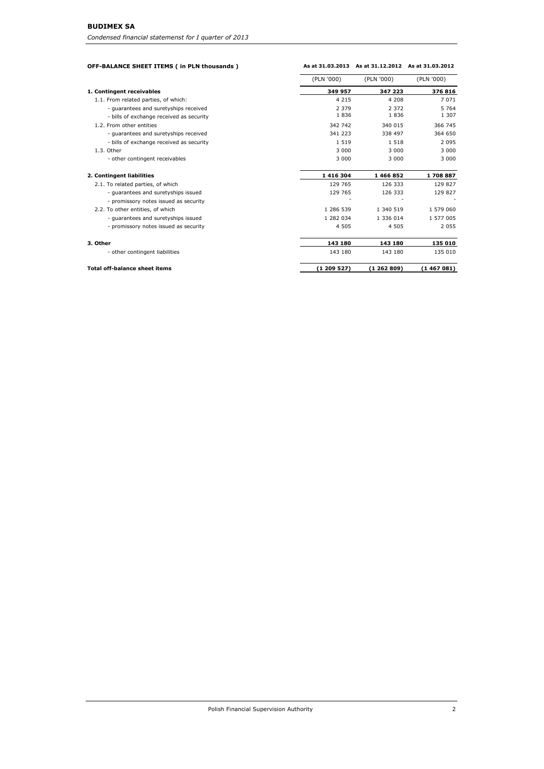| OFF-BALANCE SHEET ITEMS ( in PLN thousands ) | As at 31.03.2013 | As at 31.12.2012 As at 31.03.2012 |            |
|----------------------------------------------|------------------|-----------------------------------|------------|
|                                              | (PLN '000)       | (PLN '000)                        | (PLN '000) |
| 1. Contingent receivables                    | 349 957          | 347 223                           | 376 816    |
| 1.1. From related parties, of which:         | 4 2 1 5          | 4 2 0 8                           | 7 0 7 1    |
| - guarantees and suretyships received        | 2 3 7 9          | 2 3 7 2                           | 5 7 6 4    |
| - bills of exchange received as security     | 1836             | 1836                              | 1 307      |
| 1.2. From other entities                     | 342 742          | 340 015                           | 366 745    |
| - guarantees and suretyships received        | 341 223          | 338 497                           | 364 650    |
| - bills of exchange received as security     | 1519             | 1 5 1 8                           | 2 0 9 5    |
| 1.3. Other                                   | 3 0 0 0          | 3 0 0 0                           | 3 0 0 0    |
| - other contingent receivables               | 3 0 0 0          | 3 0 0 0                           | 3 0 0 0    |
| 2. Contingent liabilities                    | 1 416 304        | 1466852                           | 1708887    |
| 2.1. To related parties, of which            | 129 765          | 126 333                           | 129 827    |
| - guarantees and suretyships issued          | 129 765          | 126 333                           | 129 827    |
| - promissory notes issued as security        |                  |                                   |            |
| 2.2. To other entities, of which             | 1 286 539        | 1 340 519                         | 1 579 060  |
| - guarantees and suretyships issued          | 1 282 034        | 1 336 014                         | 1 577 005  |
| - promissory notes issued as security        | 4 5 0 5          | 4 5 0 5                           | 2 0 5 5    |
| 3. Other                                     | 143 180          | 143 180                           | 135 010    |
| - other contingent liabilities               | 143 180          | 143 180                           | 135 010    |

# **Total off-balance sheet items (1 209 527) (1 262 809) (1 467 081)**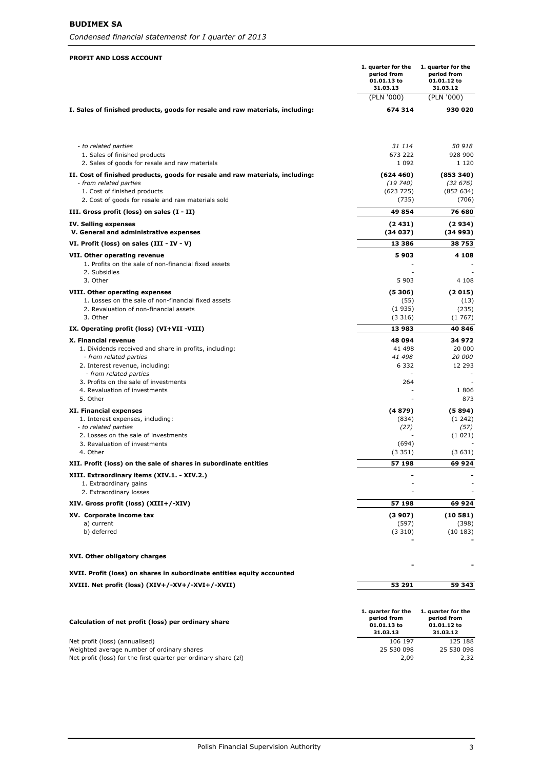*Condensed financial statemenst for I quarter of 2013*

#### **PROFIT AND LOSS ACCOUNT**

|                                                                                                                                                                                               | 1. quarter for the<br>period from<br>01.01.13 to<br>31.03.13 | 1. quarter for the<br>period from<br>01.01.12 to<br>31.03.12 |
|-----------------------------------------------------------------------------------------------------------------------------------------------------------------------------------------------|--------------------------------------------------------------|--------------------------------------------------------------|
|                                                                                                                                                                                               | (PLN '000)                                                   | (PLN '000)                                                   |
| I. Sales of finished products, goods for resale and raw materials, including:                                                                                                                 | 674 314                                                      | 930 020                                                      |
| - to related parties                                                                                                                                                                          | 31 114                                                       | 50 918                                                       |
| 1. Sales of finished products<br>2. Sales of goods for resale and raw materials                                                                                                               | 673 222<br>1 0 9 2                                           | 928 900<br>1 1 2 0                                           |
| II. Cost of finished products, goods for resale and raw materials, including:<br>- from related parties<br>1. Cost of finished products<br>2. Cost of goods for resale and raw materials sold | (624460)<br>(19740)<br>(623725)<br>(735)                     | (853340)<br>(32 676)<br>(852634)<br>(706)                    |
| III. Gross profit (loss) on sales $(I - II)$                                                                                                                                                  | 49854                                                        | 76 680                                                       |
| IV. Selling expenses<br>V. General and administrative expenses                                                                                                                                | (2431)<br>(34037)                                            | (2934)<br>(34993)                                            |
| VI. Profit (loss) on sales (III - IV - V)                                                                                                                                                     | 13 386                                                       | 38753                                                        |
| VII. Other operating revenue<br>1. Profits on the sale of non-financial fixed assets                                                                                                          | 5903                                                         | 4 1 0 8                                                      |
| 2. Subsidies<br>3. Other                                                                                                                                                                      | 5 9 0 3                                                      | 4 1 0 8                                                      |
| VIII. Other operating expenses                                                                                                                                                                | (5306)                                                       | (2015)                                                       |
| 1. Losses on the sale of non-financial fixed assets                                                                                                                                           | (55)                                                         | (13)                                                         |
| 2. Revaluation of non-financial assets                                                                                                                                                        | (1935)                                                       | (235)                                                        |
| 3. Other                                                                                                                                                                                      | (3316)<br>13 983                                             | (1767)<br>40 846                                             |
| IX. Operating profit (loss) (VI+VII-VIII)                                                                                                                                                     | 48 094                                                       | 34 972                                                       |
| X. Financial revenue<br>1. Dividends received and share in profits, including:                                                                                                                | 41 498                                                       | 20 000                                                       |
| - from related parties                                                                                                                                                                        | 41 498                                                       | <i>20 000</i>                                                |
| 2. Interest revenue, including:<br>- from related parties                                                                                                                                     | 6 3 3 2                                                      | 12 293                                                       |
| 3. Profits on the sale of investments                                                                                                                                                         | 264                                                          |                                                              |
| 4. Revaluation of investments                                                                                                                                                                 |                                                              | 1806                                                         |
| 5. Other                                                                                                                                                                                      |                                                              | 873                                                          |
| <b>XI. Financial expenses</b>                                                                                                                                                                 | (4879)                                                       | (5894)                                                       |
| 1. Interest expenses, including:<br>- to related parties                                                                                                                                      | (834)<br>(27)                                                | (1242)<br>(57)                                               |
| 2. Losses on the sale of investments                                                                                                                                                          |                                                              | (1021)                                                       |
| 3. Revaluation of investments                                                                                                                                                                 | (694)                                                        |                                                              |
| 4. Other                                                                                                                                                                                      | (3351)                                                       | (3631)                                                       |
| XII. Profit (loss) on the sale of shares in subordinate entities                                                                                                                              | 57 198                                                       | 69 924                                                       |
| XIII. Extraordinary items (XIV.1. - XIV.2.)<br>1. Extraordinary gains                                                                                                                         |                                                              |                                                              |
| 2. Extraordinary losses<br>XIV. Gross profit (loss) (XIII+/-XIV)                                                                                                                              | 57 198                                                       | 69 924                                                       |
| XV. Corporate income tax                                                                                                                                                                      | (3907)                                                       | (10581)                                                      |
| a) current                                                                                                                                                                                    | (597)                                                        | (398)                                                        |
| b) deferred                                                                                                                                                                                   | (3310)                                                       | (10183)                                                      |
| XVI. Other obligatory charges                                                                                                                                                                 |                                                              |                                                              |
| XVII. Profit (loss) on shares in subordinate entities equity accounted                                                                                                                        |                                                              |                                                              |
| XVIII. Net profit (loss) (XIV+/-XV+/-XVI+/-XVII)                                                                                                                                              | 53 291                                                       | 59 343                                                       |
|                                                                                                                                                                                               | 1. quarter for the                                           | 1. quarter for the                                           |
| Calculation of net profit (loss) per ordinary share                                                                                                                                           | period from<br>01.01.13 to<br>31.03.13                       | period from<br>01.01.12 to<br>31.03.12                       |
| Net profit (loss) (annualised)                                                                                                                                                                | 106 197                                                      | 125 188                                                      |
| Weighted average number of ordinary shares<br>Net profit (loss) for the first quarter per ordinary share (zł)                                                                                 | 25 530 098<br>2,09                                           | 25 530 098<br>2,32                                           |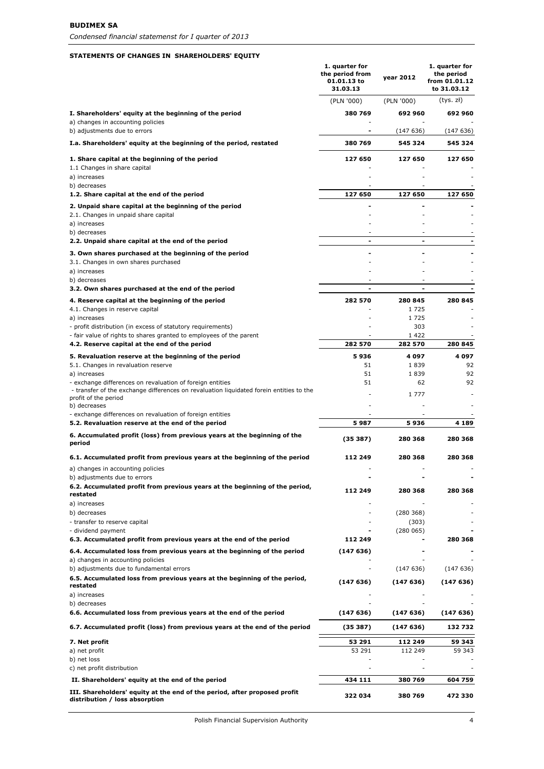# **STATEMENTS OF CHANGES IN SHAREHOLDERS' EQUITY**

|                                                                                                                                                                              | 1. quarter for<br>the period from<br>01.01.13 to<br>31.03.13 | vear 2012             | 1. quarter for<br>the period<br>from 01.01.12<br>to 31.03.12 |
|------------------------------------------------------------------------------------------------------------------------------------------------------------------------------|--------------------------------------------------------------|-----------------------|--------------------------------------------------------------|
|                                                                                                                                                                              | (PLN '000)                                                   | (PLN '000)            | (tys. zł)                                                    |
| I. Shareholders' equity at the beginning of the period<br>a) changes in accounting policies                                                                                  | 380 769                                                      | 692 960               | 692 960                                                      |
| b) adjustments due to errors                                                                                                                                                 |                                                              | (147636)              | (147 636)                                                    |
| I.a. Shareholders' equity at the beginning of the period, restated                                                                                                           | 380 769                                                      | 545 324               | 545 324                                                      |
| 1. Share capital at the beginning of the period                                                                                                                              | 127 650                                                      | 127 650               | 127 650                                                      |
| 1.1 Changes in share capital<br>a) increases                                                                                                                                 |                                                              |                       |                                                              |
| b) decreases                                                                                                                                                                 |                                                              |                       |                                                              |
| 1.2. Share capital at the end of the period                                                                                                                                  | 127 650                                                      | 127 650               | 127 650                                                      |
| 2. Unpaid share capital at the beginning of the period<br>2.1. Changes in unpaid share capital                                                                               |                                                              |                       |                                                              |
| a) increases                                                                                                                                                                 |                                                              |                       |                                                              |
| b) decreases<br>2.2. Unpaid share capital at the end of the period                                                                                                           |                                                              |                       |                                                              |
| 3. Own shares purchased at the beginning of the period                                                                                                                       |                                                              |                       |                                                              |
| 3.1. Changes in own shares purchased                                                                                                                                         |                                                              |                       |                                                              |
| a) increases                                                                                                                                                                 |                                                              |                       |                                                              |
| b) decreases<br>3.2. Own shares purchased at the end of the period                                                                                                           |                                                              |                       |                                                              |
| 4. Reserve capital at the beginning of the period<br>4.1. Changes in reserve capital                                                                                         | 282 570                                                      | 280 845<br>1725       | 280 845                                                      |
| a) increases                                                                                                                                                                 |                                                              | 1725                  |                                                              |
| - profit distribution (in excess of statutory requirements)                                                                                                                  |                                                              | 303                   |                                                              |
| - fair value of rights to shares granted to employees of the parent<br>4.2. Reserve capital at the end of the period                                                         | 282 570                                                      | 1422<br>282 570       | 280 845                                                      |
| 5. Revaluation reserve at the beginning of the period                                                                                                                        | 5936                                                         | 4 097                 | 4 097                                                        |
| 5.1. Changes in revaluation reserve                                                                                                                                          | 51                                                           | 1839                  | 92                                                           |
| a) increases                                                                                                                                                                 | 51<br>51                                                     | 1839                  | 92                                                           |
| - exchange differences on revaluation of foreign entities<br>- transfer of the exchange differences on revaluation liquidated forein entities to the<br>profit of the period |                                                              | 62<br>1 7 7 7         | 92                                                           |
| b) decreases                                                                                                                                                                 |                                                              |                       |                                                              |
| - exchange differences on revaluation of foreign entities<br>5.2. Revaluation reserve at the end of the period                                                               | 5 987                                                        | 5 936                 | 4 189                                                        |
| 6. Accumulated profit (loss) from previous years at the beginning of the<br>period                                                                                           | (35387)                                                      | 280 368               | 280 368                                                      |
| 6.1. Accumulated profit from previous years at the beginning of the period                                                                                                   | 112 249                                                      | 280 368               | 280 368                                                      |
| a) changes in accounting policies                                                                                                                                            |                                                              |                       |                                                              |
| b) adjustments due to errors<br>6.2. Accumulated profit from previous years at the beginning of the period,                                                                  | 112 249                                                      | 280 368               | 280 368                                                      |
| restated                                                                                                                                                                     |                                                              |                       |                                                              |
| a) increases<br>b) decreases                                                                                                                                                 |                                                              | (280 368)             |                                                              |
| - transfer to reserve capital                                                                                                                                                |                                                              | (303)                 |                                                              |
| - dividend payment                                                                                                                                                           |                                                              | (280065)              |                                                              |
| 6.3. Accumulated profit from previous years at the end of the period                                                                                                         | 112 249                                                      |                       | 280 368                                                      |
| 6.4. Accumulated loss from previous years at the beginning of the period<br>a) changes in accounting policies<br>b) adjustments due to fundamental errors                    | (147636)                                                     | (147636)              | (147636)                                                     |
| 6.5. Accumulated loss from previous years at the beginning of the period,<br>restated                                                                                        | (147636)                                                     | (147636)              | (147636)                                                     |
| a) increases                                                                                                                                                                 |                                                              |                       |                                                              |
| b) decreases                                                                                                                                                                 |                                                              |                       |                                                              |
| 6.6. Accumulated loss from previous years at the end of the period<br>6.7. Accumulated profit (loss) from previous years at the end of the period                            | (147636)<br>(35387)                                          | (147636)<br>(147 636) | (147636)<br>132 732                                          |
| 7. Net profit                                                                                                                                                                | 53 291                                                       | 112 249               | 59 343                                                       |
| a) net profit                                                                                                                                                                | 53 291                                                       | 112 249               | 59 343                                                       |
| b) net loss                                                                                                                                                                  |                                                              |                       |                                                              |
| c) net profit distribution                                                                                                                                                   |                                                              |                       |                                                              |
| II. Shareholders' equity at the end of the period                                                                                                                            | 434 111                                                      | 380 769               | 604 759                                                      |
| III. Shareholders' equity at the end of the period, after proposed profit<br>distribution / loss absorption                                                                  | 322 034                                                      | 380 769               | 472 330                                                      |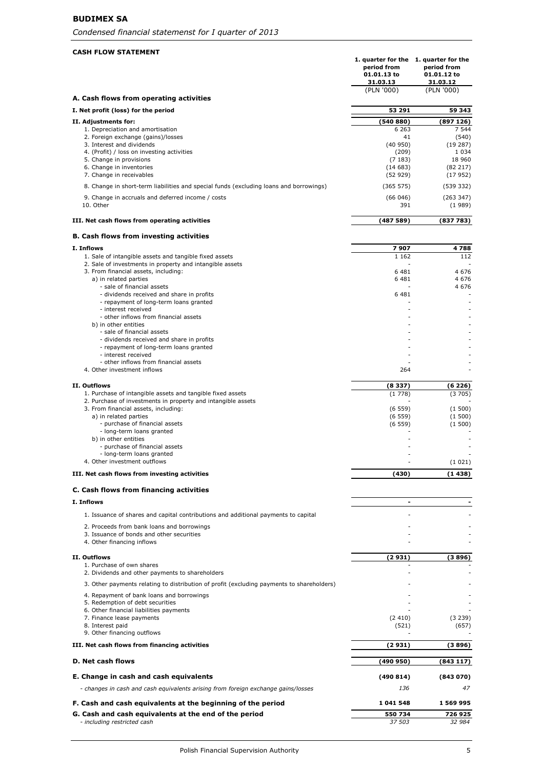# **BUDIMEX SA**

# **CASH FLOW STATEMENT**

| UW JIAIEM                                                                                                          | 1. quarter for the 1. quarter for the<br>period from<br>01.01.13 to<br>31.03.13 | period from<br>01.01.12 to<br>31.03.12 |
|--------------------------------------------------------------------------------------------------------------------|---------------------------------------------------------------------------------|----------------------------------------|
| A. Cash flows from operating activities                                                                            | (PLN '000)                                                                      | (PLN '000)                             |
| I. Net profit (loss) for the period                                                                                | 53 291                                                                          | 59 343                                 |
| II. Adjustments for:                                                                                               | (540 880)                                                                       | (897 126)                              |
| 1. Depreciation and amortisation<br>2. Foreign exchange (gains)/losses<br>3. Interest and dividends                | 6 2 6 3<br>41<br>(40950)                                                        | 7 5 4 4<br>(540)<br>(19287)            |
| 4. (Profit) / loss on investing activities<br>5. Change in provisions                                              | (209)<br>(7183)                                                                 | 1 0 3 4<br>18 960                      |
| 6. Change in inventories<br>7. Change in receivables                                                               | (14683)                                                                         | (82 217)                               |
| 8. Change in short-term liabilities and special funds (excluding loans and borrowings)                             | (52929)<br>(365 575)                                                            | (17952)<br>(539 332)                   |
| 9. Change in accruals and deferred income / costs<br>10. Other                                                     | (66046)<br>391                                                                  | (263 347)<br>(1989)                    |
| III. Net cash flows from operating activities                                                                      | (487589)                                                                        | (837 783)                              |
| <b>B. Cash flows from investing activities</b>                                                                     |                                                                                 |                                        |
| I. Inflows                                                                                                         | 7907                                                                            | 4788                                   |
| 1. Sale of intangible assets and tangible fixed assets<br>2. Sale of investments in property and intangible assets | 1 1 6 2                                                                         | 112                                    |
| 3. From financial assets, including:                                                                               | 6 4 8 1                                                                         | 4676                                   |
| a) in related parties<br>- sale of financial assets                                                                | 6481                                                                            | 4676<br>4676                           |
| - dividends received and share in profits<br>- repayment of long-term loans granted                                | 6 4 8 1                                                                         |                                        |
| - interest received<br>- other inflows from financial assets                                                       |                                                                                 |                                        |
| b) in other entities                                                                                               |                                                                                 |                                        |
| - sale of financial assets<br>- dividends received and share in profits                                            |                                                                                 |                                        |
| - repayment of long-term loans granted<br>- interest received                                                      |                                                                                 |                                        |
| - other inflows from financial assets<br>4. Other investment inflows                                               | 264                                                                             |                                        |
|                                                                                                                    |                                                                                 |                                        |
| II. Outflows<br>1. Purchase of intangible assets and tangible fixed assets                                         | (8337)<br>(1778)                                                                | (6226)<br>(3705)                       |
| 2. Purchase of investments in property and intangible assets<br>3. From financial assets, including:               | (6559)                                                                          | (1500)                                 |
| a) in related parties<br>- purchase of financial assets                                                            | (6559)<br>(6559)                                                                | (1500)<br>(1500)                       |
| - long-term loans granted<br>b) in other entities                                                                  |                                                                                 |                                        |
| - purchase of financial assets                                                                                     |                                                                                 |                                        |
| - long-term loans granted<br>4. Other investment outflows                                                          |                                                                                 | (1021)                                 |
| III. Net cash flows from investing activities                                                                      | (430)                                                                           | (1 438)                                |
| C. Cash flows from financing activities                                                                            |                                                                                 |                                        |
| I. Inflows                                                                                                         | $\overline{\phantom{a}}$                                                        |                                        |
| 1. Issuance of shares and capital contributions and additional payments to capital                                 |                                                                                 |                                        |
| 2. Proceeds from bank loans and borrowings<br>3. Issuance of bonds and other securities                            |                                                                                 |                                        |
| 4. Other financing inflows                                                                                         |                                                                                 |                                        |
| II. Outflows                                                                                                       | (2931)                                                                          | (3 896)                                |
| 1. Purchase of own shares<br>2. Dividends and other payments to shareholders                                       |                                                                                 |                                        |
| 3. Other payments relating to distribution of profit (excluding payments to shareholders)                          |                                                                                 |                                        |
| 4. Repayment of bank loans and borrowings                                                                          |                                                                                 |                                        |
| 5. Redemption of debt securities<br>6. Other financial liabilities payments                                        |                                                                                 |                                        |
| 7. Finance lease payments                                                                                          | (2410)                                                                          | (3 239)                                |
| 8. Interest paid<br>9. Other financing outflows                                                                    | (521)                                                                           | (657)                                  |
| III. Net cash flows from financing activities                                                                      | (2 931)                                                                         | (3 896)                                |
| <b>D. Net cash flows</b>                                                                                           | (490950)                                                                        | (843117)                               |
| E. Change in cash and cash equivalents                                                                             | (490814)                                                                        | (843070)                               |
| - changes in cash and cash equivalents arising from foreign exchange gains/losses                                  | 136                                                                             | 47                                     |
| F. Cash and cash equivalents at the beginning of the period                                                        | 1041548                                                                         | 1 569 995                              |
| G. Cash and cash equivalents at the end of the period<br>- including restricted cash                               | 550 734<br>37 503                                                               | 726 925<br>32 984                      |
|                                                                                                                    |                                                                                 |                                        |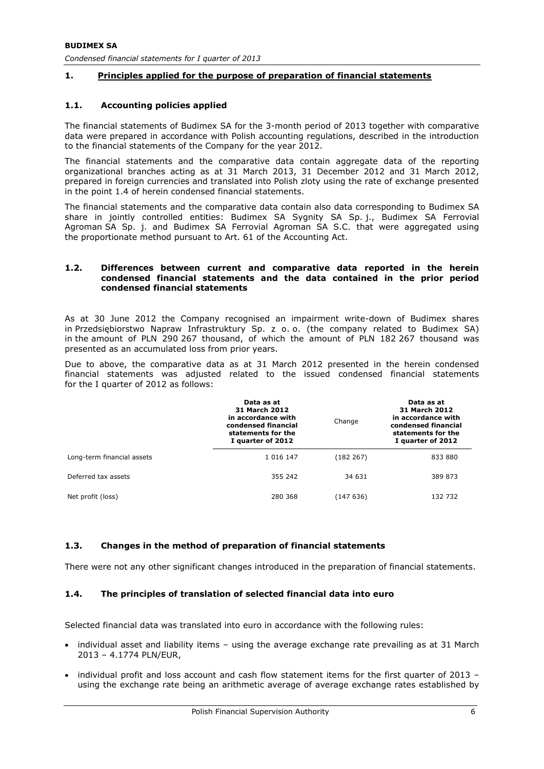# **1. Principles applied for the purpose of preparation of financial statements**

#### **1.1. Accounting policies applied**

The financial statements of Budimex SA for the 3-month period of 2013 together with comparative data were prepared in accordance with Polish accounting regulations, described in the introduction to the financial statements of the Company for the year 2012.

The financial statements and the comparative data contain aggregate data of the reporting organizational branches acting as at 31 March 2013, 31 December 2012 and 31 March 2012, prepared in foreign currencies and translated into Polish zloty using the rate of exchange presented in the point 1.4 of herein condensed financial statements.

The financial statements and the comparative data contain also data corresponding to Budimex SA share in jointly controlled entities: Budimex SA Sygnity SA Sp. j., Budimex SA Ferrovial Agroman SA Sp. j. and Budimex SA Ferrovial Agroman SA S.C. that were aggregated using the proportionate method pursuant to Art. 61 of the Accounting Act.

#### **1.2. Differences between current and comparative data reported in the herein condensed financial statements and the data contained in the prior period condensed financial statements**

As at 30 June 2012 the Company recognised an impairment write-down of Budimex shares in Przedsiębiorstwo Napraw Infrastruktury Sp. z o. o. (the company related to Budimex SA) in the amount of PLN 290 267 thousand, of which the amount of PLN 182 267 thousand was presented as an accumulated loss from prior years.

Due to above, the comparative data as at 31 March 2012 presented in the herein condensed financial statements was adjusted related to the issued condensed financial statements for the I quarter of 2012 as follows:

|                            | Data as at<br>31 March 2012<br>in accordance with<br>condensed financial<br>statements for the<br>I quarter of 2012 | Change    | Data as at<br><b>31 March 2012</b><br>in accordance with<br>condensed financial<br>statements for the<br>I quarter of 2012 |
|----------------------------|---------------------------------------------------------------------------------------------------------------------|-----------|----------------------------------------------------------------------------------------------------------------------------|
| Long-term financial assets | 1 0 1 6 1 4 7                                                                                                       | (182 267) | 833 880                                                                                                                    |
| Deferred tax assets        | 355 242                                                                                                             | 34 631    | 389 873                                                                                                                    |
| Net profit (loss)          | 280 368                                                                                                             | (147 636) | 132 732                                                                                                                    |

# **1.3. Changes in the method of preparation of financial statements**

There were not any other significant changes introduced in the preparation of financial statements.

# **1.4. The principles of translation of selected financial data into euro**

Selected financial data was translated into euro in accordance with the following rules:

- individual asset and liability items using the average exchange rate prevailing as at 31 March 2013 – 4.1774 PLN/EUR,
- individual profit and loss account and cash flow statement items for the first quarter of 2013 using the exchange rate being an arithmetic average of average exchange rates established by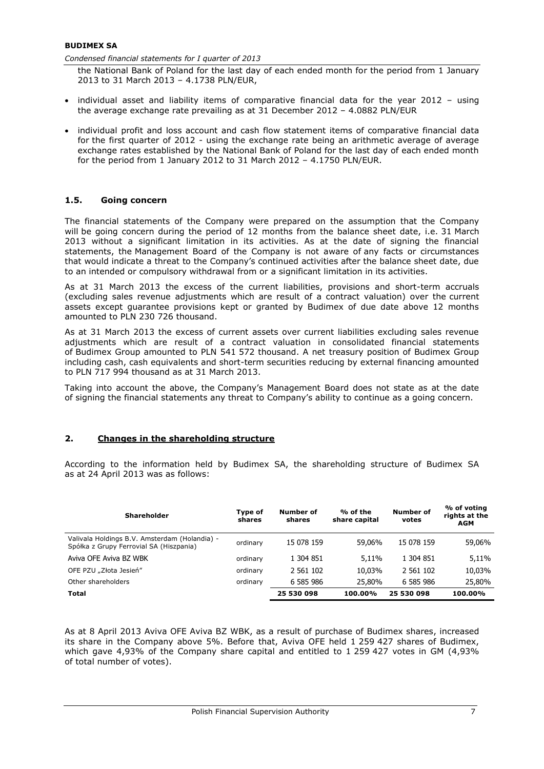#### **BUDIMEX SA**

*Condensed financial statements for I quarter of 2013* 

the National Bank of Poland for the last day of each ended month for the period from 1 January 2013 to 31 March 2013 – 4.1738 PLN/EUR,

- individual asset and liability items of comparative financial data for the year 2012 using the average exchange rate prevailing as at 31 December 2012 – 4.0882 PLN/EUR
- individual profit and loss account and cash flow statement items of comparative financial data for the first quarter of 2012 - using the exchange rate being an arithmetic average of average exchange rates established by the National Bank of Poland for the last day of each ended month for the period from 1 January 2012 to 31 March 2012 – 4.1750 PLN/EUR.

# **1.5. Going concern**

The financial statements of the Company were prepared on the assumption that the Company will be going concern during the period of 12 months from the balance sheet date, i.e. 31 March 2013 without a significant limitation in its activities. As at the date of signing the financial statements, the Management Board of the Company is not aware of any facts or circumstances that would indicate a threat to the Company's continued activities after the balance sheet date, due to an intended or compulsory withdrawal from or a significant limitation in its activities.

As at 31 March 2013 the excess of the current liabilities, provisions and short-term accruals (excluding sales revenue adjustments which are result of a contract valuation) over the current assets except guarantee provisions kept or granted by Budimex of due date above 12 months amounted to PLN 230 726 thousand.

As at 31 March 2013 the excess of current assets over current liabilities excluding sales revenue adjustments which are result of a contract valuation in consolidated financial statements of Budimex Group amounted to PLN 541 572 thousand. A net treasury position of Budimex Group including cash, cash equivalents and short-term securities reducing by external financing amounted to PLN 717 994 thousand as at 31 March 2013.

Taking into account the above, the Company's Management Board does not state as at the date of signing the financial statements any threat to Company's ability to continue as a going concern.

# **2. Changes in the shareholding structure**

According to the information held by Budimex SA, the shareholding structure of Budimex SA as at 24 April 2013 was as follows:

| <b>Shareholder</b>                                                                       | Type of<br>shares | Number of<br>shares | % of the<br>share capital | <b>Number of</b><br>votes | % of voting<br>rights at the<br><b>AGM</b> |
|------------------------------------------------------------------------------------------|-------------------|---------------------|---------------------------|---------------------------|--------------------------------------------|
| Valivala Holdings B.V. Amsterdam (Holandia) -<br>Spółka z Grupy Ferrovial SA (Hiszpania) | ordinary          | 15 078 159          | 59.06%                    | 15 078 159                | 59,06%                                     |
| Aviva OFE Aviva BZ WBK                                                                   | ordinary          | 1 304 851           | 5,11%                     | 1 304 851                 | 5,11%                                      |
| OFE PZU "Złota Jesień"                                                                   | ordinary          | 2 561 102           | 10.03%                    | 2 561 102                 | 10,03%                                     |
| Other shareholders                                                                       | ordinary          | 6 585 986           | 25,80%                    | 6 585 986                 | 25,80%                                     |
| <b>Total</b>                                                                             |                   | 25 530 098          | 100.00%                   | 25 530 098                | 100.00%                                    |

As at 8 April 2013 Aviva OFE Aviva BZ WBK, as a result of purchase of Budimex shares, increased its share in the Company above 5%. Before that, Aviva OFE held 1 259 427 shares of Budimex, which gave 4,93% of the Company share capital and entitled to 1 259 427 votes in GM (4,93% of total number of votes).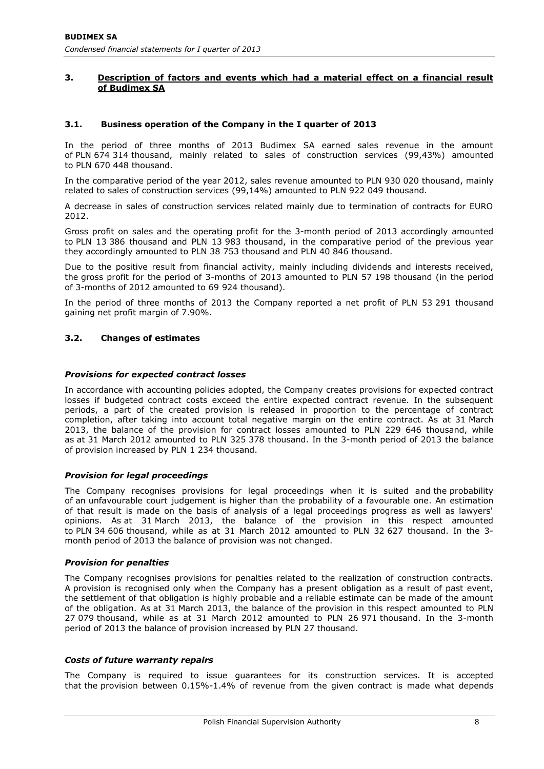# **3. Description of factors and events which had a material effect on a financial result of Budimex SA**

# **3.1. Business operation of the Company in the I quarter of 2013**

In the period of three months of 2013 Budimex SA earned sales revenue in the amount of PLN 674 314 thousand, mainly related to sales of construction services (99,43%) amounted to PLN 670 448 thousand.

In the comparative period of the year 2012, sales revenue amounted to PLN 930 020 thousand, mainly related to sales of construction services (99,14%) amounted to PLN 922 049 thousand.

A decrease in sales of construction services related mainly due to termination of contracts for EURO 2012.

Gross profit on sales and the operating profit for the 3-month period of 2013 accordingly amounted to PLN 13 386 thousand and PLN 13 983 thousand, in the comparative period of the previous year they accordingly amounted to PLN 38 753 thousand and PLN 40 846 thousand.

Due to the positive result from financial activity, mainly including dividends and interests received, the gross profit for the period of 3-months of 2013 amounted to PLN 57 198 thousand (in the period of 3-months of 2012 amounted to 69 924 thousand).

In the period of three months of 2013 the Company reported a net profit of PLN 53 291 thousand gaining net profit margin of 7.90%.

# **3.2. Changes of estimates**

#### *Provisions for expected contract losses*

In accordance with accounting policies adopted, the Company creates provisions for expected contract losses if budgeted contract costs exceed the entire expected contract revenue. In the subsequent periods, a part of the created provision is released in proportion to the percentage of contract completion, after taking into account total negative margin on the entire contract. As at 31 March 2013, the balance of the provision for contract losses amounted to PLN 229 646 thousand, while as at 31 March 2012 amounted to PLN 325 378 thousand. In the 3-month period of 2013 the balance of provision increased by PLN 1 234 thousand.

#### *Provision for legal proceedings*

The Company recognises provisions for legal proceedings when it is suited and the probability of an unfavourable court judgement is higher than the probability of a favourable one. An estimation of that result is made on the basis of analysis of a legal proceedings progress as well as lawyers' opinions. As at 31 March 2013, the balance of the provision in this respect amounted to PLN 34 606 thousand, while as at 31 March 2012 amounted to PLN 32 627 thousand. In the 3 month period of 2013 the balance of provision was not changed.

#### *Provision for penalties*

The Company recognises provisions for penalties related to the realization of construction contracts. A provision is recognised only when the Company has a present obligation as a result of past event, the settlement of that obligation is highly probable and a reliable estimate can be made of the amount of the obligation. As at 31 March 2013, the balance of the provision in this respect amounted to PLN 27 079 thousand, while as at 31 March 2012 amounted to PLN 26 971 thousand. In the 3-month period of 2013 the balance of provision increased by PLN 27 thousand.

#### *Costs of future warranty repairs*

The Company is required to issue guarantees for its construction services. It is accepted that the provision between 0.15%-1.4% of revenue from the given contract is made what depends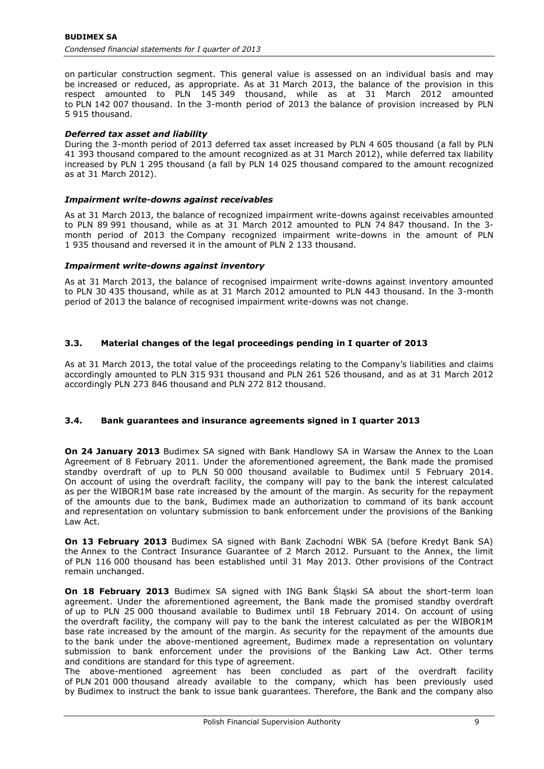on particular construction segment. This general value is assessed on an individual basis and may be increased or reduced, as appropriate. As at 31 March 2013, the balance of the provision in this respect amounted to PLN 145 349 thousand, while as at 31 March 2012 amounted to PLN 142 007 thousand. In the 3-month period of 2013 the balance of provision increased by PLN 5 915 thousand.

# *Deferred tax asset and liability*

During the 3-month period of 2013 deferred tax asset increased by PLN 4 605 thousand (a fall by PLN 41 393 thousand compared to the amount recognized as at 31 March 2012), while deferred tax liability increased by PLN 1 295 thousand (a fall by PLN 14 025 thousand compared to the amount recognized as at 31 March 2012).

#### *Impairment write-downs against receivables*

As at 31 March 2013, the balance of recognized impairment write-downs against receivables amounted to PLN 89 991 thousand, while as at 31 March 2012 amounted to PLN 74 847 thousand. In the 3 month period of 2013 the Company recognized impairment write-downs in the amount of PLN 1 935 thousand and reversed it in the amount of PLN 2 133 thousand.

#### *Impairment write-downs against inventory*

As at 31 March 2013, the balance of recognised impairment write-downs against inventory amounted to PLN 30 435 thousand, while as at 31 March 2012 amounted to PLN 443 thousand. In the 3-month period of 2013 the balance of recognised impairment write-downs was not change.

# **3.3. Material changes of the legal proceedings pending in I quarter of 2013**

As at 31 March 2013, the total value of the proceedings relating to the Company's liabilities and claims accordingly amounted to PLN 315 931 thousand and PLN 261 526 thousand, and as at 31 March 2012 accordingly PLN 273 846 thousand and PLN 272 812 thousand.

# **3.4. Bank guarantees and insurance agreements signed in I quarter 2013**

**On 24 January 2013** Budimex SA signed with Bank Handlowy SA in Warsaw the Annex to the Loan Agreement of 8 February 2011. Under the aforementioned agreement, the Bank made the promised standby overdraft of up to PLN 50 000 thousand available to Budimex until 5 February 2014. On account of using the overdraft facility, the company will pay to the bank the interest calculated as per the WIBOR1M base rate increased by the amount of the margin. As security for the repayment of the amounts due to the bank, Budimex made an authorization to command of its bank account and representation on voluntary submission to bank enforcement under the provisions of the Banking Law Act.

**On 13 February 2013** Budimex SA signed with Bank Zachodni WBK SA (before Kredyt Bank SA) the Annex to the Contract Insurance Guarantee of 2 March 2012. Pursuant to the Annex, the limit of PLN 116 000 thousand has been established until 31 May 2013. Other provisions of the Contract remain unchanged.

**On 18 February 2013** Budimex SA signed with ING Bank Śląski SA about the short-term loan agreement. Under the aforementioned agreement, the Bank made the promised standby overdraft of up to PLN 25 000 thousand available to Budimex until 18 February 2014. On account of using the overdraft facility, the company will pay to the bank the interest calculated as per the WIBOR1M base rate increased by the amount of the margin. As security for the repayment of the amounts due to the bank under the above-mentioned agreement, Budimex made a representation on voluntary submission to bank enforcement under the provisions of the Banking Law Act. Other terms and conditions are standard for this type of agreement.

The above-mentioned agreement has been concluded as part of the overdraft facility of PLN 201 000 thousand already available to the company, which has been previously used by Budimex to instruct the bank to issue bank guarantees. Therefore, the Bank and the company also